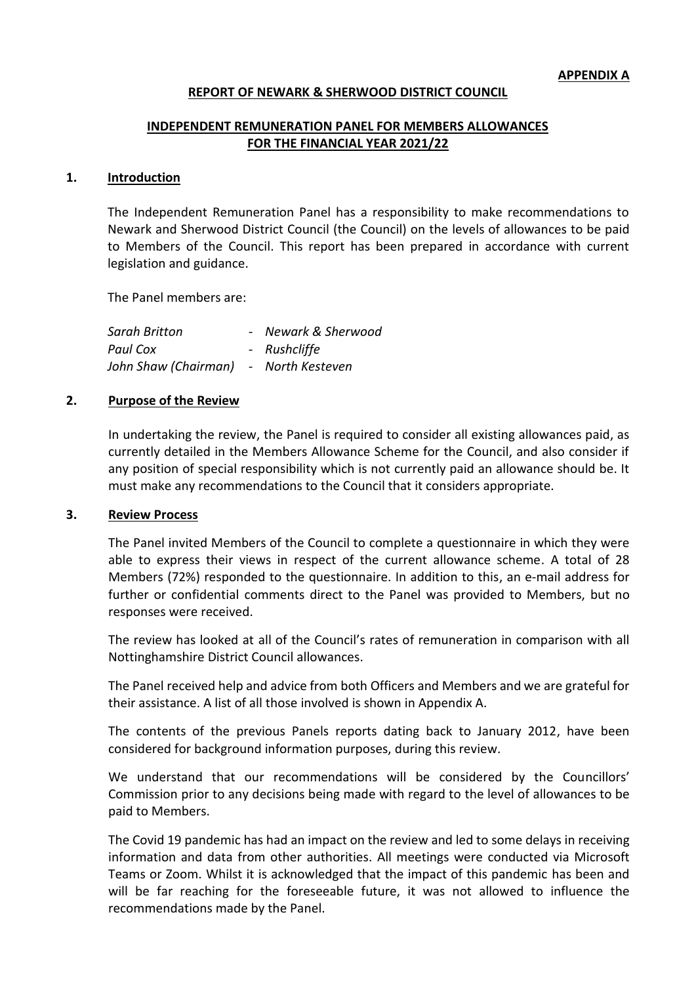#### **REPORT OF NEWARK & SHERWOOD DISTRICT COUNCIL**

### **INDEPENDENT REMUNERATION PANEL FOR MEMBERS ALLOWANCES FOR THE FINANCIAL YEAR 2021/22**

#### **1. Introduction**

The Independent Remuneration Panel has a responsibility to make recommendations to Newark and Sherwood District Council (the Council) on the levels of allowances to be paid to Members of the Council. This report has been prepared in accordance with current legislation and guidance.

The Panel members are:

| Sarah Britton        | - Newark & Sherwood |
|----------------------|---------------------|
| Paul Cox             | - Rushcliffe        |
| John Shaw (Chairman) | - North Kesteven    |

#### **2. Purpose of the Review**

In undertaking the review, the Panel is required to consider all existing allowances paid, as currently detailed in the Members Allowance Scheme for the Council, and also consider if any position of special responsibility which is not currently paid an allowance should be. It must make any recommendations to the Council that it considers appropriate.

#### **3. Review Process**

The Panel invited Members of the Council to complete a questionnaire in which they were able to express their views in respect of the current allowance scheme. A total of 28 Members (72%) responded to the questionnaire. In addition to this, an e-mail address for further or confidential comments direct to the Panel was provided to Members, but no responses were received.

The review has looked at all of the Council's rates of remuneration in comparison with all Nottinghamshire District Council allowances.

The Panel received help and advice from both Officers and Members and we are grateful for their assistance. A list of all those involved is shown in Appendix A.

The contents of the previous Panels reports dating back to January 2012, have been considered for background information purposes, during this review.

We understand that our recommendations will be considered by the Councillors' Commission prior to any decisions being made with regard to the level of allowances to be paid to Members.

The Covid 19 pandemic has had an impact on the review and led to some delays in receiving information and data from other authorities. All meetings were conducted via Microsoft Teams or Zoom. Whilst it is acknowledged that the impact of this pandemic has been and will be far reaching for the foreseeable future, it was not allowed to influence the recommendations made by the Panel.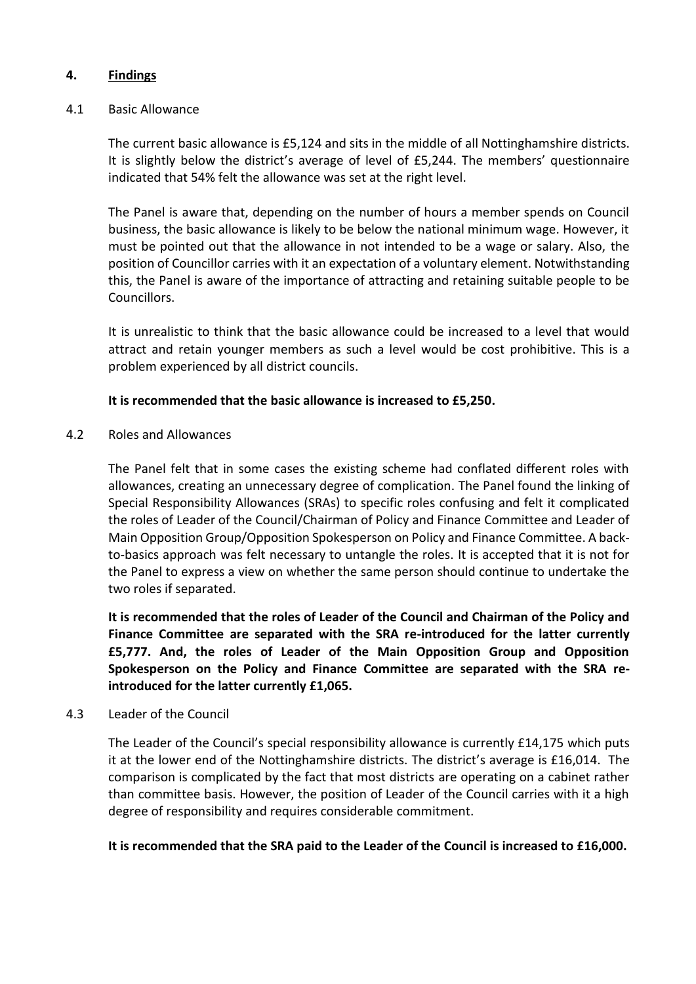## **4. Findings**

### 4.1 Basic Allowance

The current basic allowance is £5,124 and sits in the middle of all Nottinghamshire districts. It is slightly below the district's average of level of £5,244. The members' questionnaire indicated that 54% felt the allowance was set at the right level.

The Panel is aware that, depending on the number of hours a member spends on Council business, the basic allowance is likely to be below the national minimum wage. However, it must be pointed out that the allowance in not intended to be a wage or salary. Also, the position of Councillor carries with it an expectation of a voluntary element. Notwithstanding this, the Panel is aware of the importance of attracting and retaining suitable people to be Councillors.

It is unrealistic to think that the basic allowance could be increased to a level that would attract and retain younger members as such a level would be cost prohibitive. This is a problem experienced by all district councils.

## **It is recommended that the basic allowance is increased to £5,250.**

4.2 Roles and Allowances

The Panel felt that in some cases the existing scheme had conflated different roles with allowances, creating an unnecessary degree of complication. The Panel found the linking of Special Responsibility Allowances (SRAs) to specific roles confusing and felt it complicated the roles of Leader of the Council/Chairman of Policy and Finance Committee and Leader of Main Opposition Group/Opposition Spokesperson on Policy and Finance Committee. A backto-basics approach was felt necessary to untangle the roles. It is accepted that it is not for the Panel to express a view on whether the same person should continue to undertake the two roles if separated.

**It is recommended that the roles of Leader of the Council and Chairman of the Policy and Finance Committee are separated with the SRA re-introduced for the latter currently £5,777. And, the roles of Leader of the Main Opposition Group and Opposition Spokesperson on the Policy and Finance Committee are separated with the SRA reintroduced for the latter currently £1,065.**

### 4.3 Leader of the Council

The Leader of the Council's special responsibility allowance is currently £14,175 which puts it at the lower end of the Nottinghamshire districts. The district's average is £16,014. The comparison is complicated by the fact that most districts are operating on a cabinet rather than committee basis. However, the position of Leader of the Council carries with it a high degree of responsibility and requires considerable commitment.

**It is recommended that the SRA paid to the Leader of the Council is increased to £16,000.**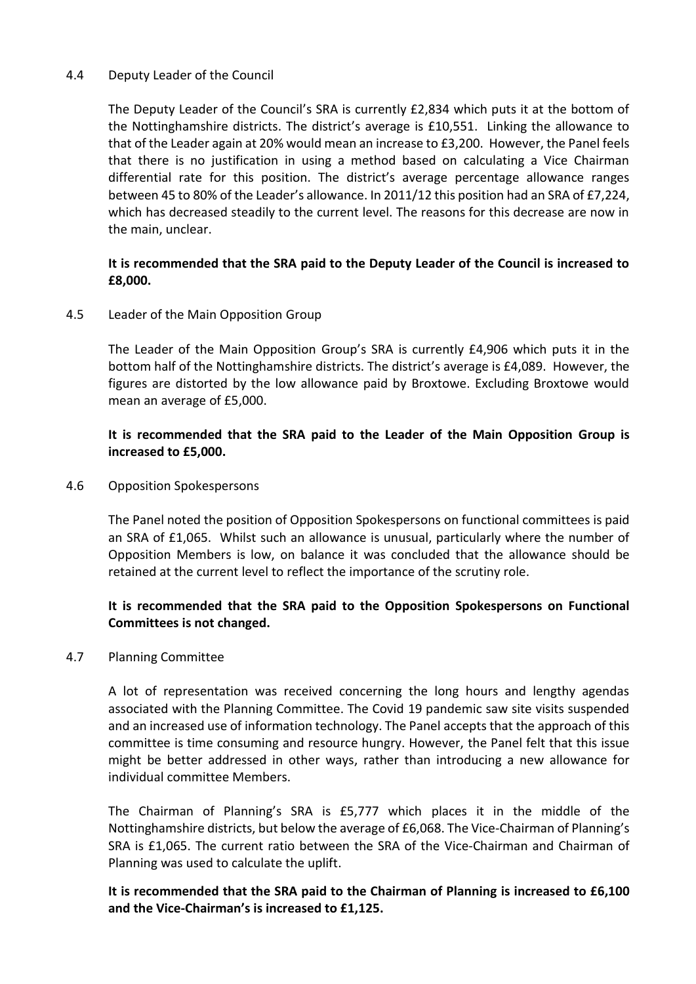## 4.4 Deputy Leader of the Council

The Deputy Leader of the Council's SRA is currently £2,834 which puts it at the bottom of the Nottinghamshire districts. The district's average is £10,551. Linking the allowance to that of the Leader again at 20% would mean an increase to £3,200. However, the Panel feels that there is no justification in using a method based on calculating a Vice Chairman differential rate for this position. The district's average percentage allowance ranges between 45 to 80% of the Leader's allowance. In 2011/12 this position had an SRA of £7,224, which has decreased steadily to the current level. The reasons for this decrease are now in the main, unclear.

# **It is recommended that the SRA paid to the Deputy Leader of the Council is increased to £8,000.**

4.5 Leader of the Main Opposition Group

The Leader of the Main Opposition Group's SRA is currently £4,906 which puts it in the bottom half of the Nottinghamshire districts. The district's average is £4,089. However, the figures are distorted by the low allowance paid by Broxtowe. Excluding Broxtowe would mean an average of £5,000.

# **It is recommended that the SRA paid to the Leader of the Main Opposition Group is increased to £5,000.**

4.6 Opposition Spokespersons

The Panel noted the position of Opposition Spokespersons on functional committees is paid an SRA of £1,065. Whilst such an allowance is unusual, particularly where the number of Opposition Members is low, on balance it was concluded that the allowance should be retained at the current level to reflect the importance of the scrutiny role.

# **It is recommended that the SRA paid to the Opposition Spokespersons on Functional Committees is not changed.**

### 4.7 Planning Committee

A lot of representation was received concerning the long hours and lengthy agendas associated with the Planning Committee. The Covid 19 pandemic saw site visits suspended and an increased use of information technology. The Panel accepts that the approach of this committee is time consuming and resource hungry. However, the Panel felt that this issue might be better addressed in other ways, rather than introducing a new allowance for individual committee Members.

The Chairman of Planning's SRA is £5,777 which places it in the middle of the Nottinghamshire districts, but below the average of £6,068. The Vice-Chairman of Planning's SRA is £1,065. The current ratio between the SRA of the Vice-Chairman and Chairman of Planning was used to calculate the uplift.

**It is recommended that the SRA paid to the Chairman of Planning is increased to £6,100 and the Vice-Chairman's is increased to £1,125.**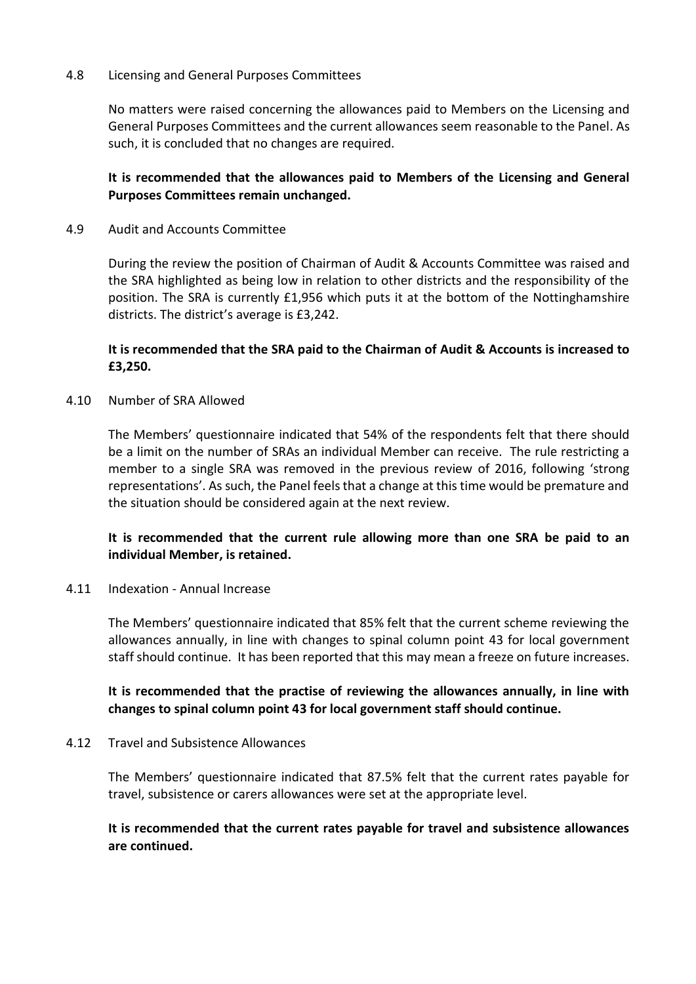### 4.8 Licensing and General Purposes Committees

No matters were raised concerning the allowances paid to Members on the Licensing and General Purposes Committees and the current allowances seem reasonable to the Panel. As such, it is concluded that no changes are required.

# **It is recommended that the allowances paid to Members of the Licensing and General Purposes Committees remain unchanged.**

### 4.9 Audit and Accounts Committee

During the review the position of Chairman of Audit & Accounts Committee was raised and the SRA highlighted as being low in relation to other districts and the responsibility of the position. The SRA is currently £1,956 which puts it at the bottom of the Nottinghamshire districts. The district's average is £3,242.

# **It is recommended that the SRA paid to the Chairman of Audit & Accounts is increased to £3,250.**

## 4.10 Number of SRA Allowed

The Members' questionnaire indicated that 54% of the respondents felt that there should be a limit on the number of SRAs an individual Member can receive. The rule restricting a member to a single SRA was removed in the previous review of 2016, following 'strong representations'. As such, the Panel feels that a change at this time would be premature and the situation should be considered again at the next review.

# **It is recommended that the current rule allowing more than one SRA be paid to an individual Member, is retained.**

### 4.11 Indexation - Annual Increase

The Members' questionnaire indicated that 85% felt that the current scheme reviewing the allowances annually, in line with changes to spinal column point 43 for local government staff should continue. It has been reported that this may mean a freeze on future increases.

# **It is recommended that the practise of reviewing the allowances annually, in line with changes to spinal column point 43 for local government staff should continue.**

### 4.12 Travel and Subsistence Allowances

The Members' questionnaire indicated that 87.5% felt that the current rates payable for travel, subsistence or carers allowances were set at the appropriate level.

## **It is recommended that the current rates payable for travel and subsistence allowances are continued.**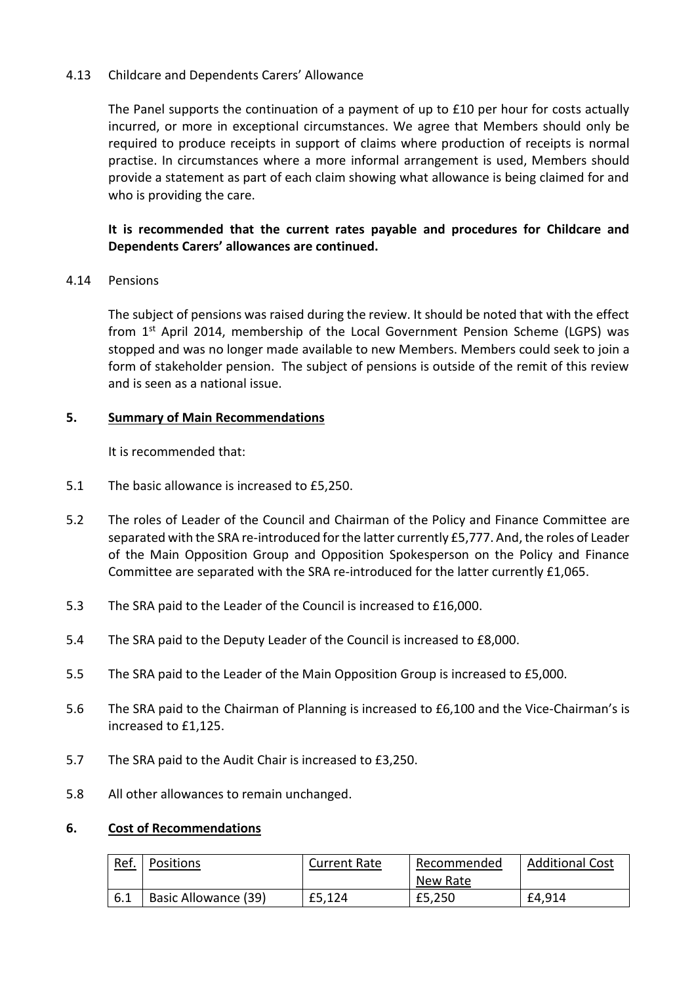## 4.13 Childcare and Dependents Carers' Allowance

The Panel supports the continuation of a payment of up to £10 per hour for costs actually incurred, or more in exceptional circumstances. We agree that Members should only be required to produce receipts in support of claims where production of receipts is normal practise. In circumstances where a more informal arrangement is used, Members should provide a statement as part of each claim showing what allowance is being claimed for and who is providing the care.

# **It is recommended that the current rates payable and procedures for Childcare and Dependents Carers' allowances are continued.**

## 4.14 Pensions

The subject of pensions was raised during the review. It should be noted that with the effect from 1st April 2014, membership of the Local Government Pension Scheme (LGPS) was stopped and was no longer made available to new Members. Members could seek to join a form of stakeholder pension. The subject of pensions is outside of the remit of this review and is seen as a national issue.

## **5. Summary of Main Recommendations**

It is recommended that:

- 5.1 The basic allowance is increased to £5,250.
- 5.2 The roles of Leader of the Council and Chairman of the Policy and Finance Committee are separated with the SRA re-introduced for the latter currently £5,777. And, the roles of Leader of the Main Opposition Group and Opposition Spokesperson on the Policy and Finance Committee are separated with the SRA re-introduced for the latter currently £1,065.
- 5.3 The SRA paid to the Leader of the Council is increased to £16,000.
- 5.4 The SRA paid to the Deputy Leader of the Council is increased to £8,000.
- 5.5 The SRA paid to the Leader of the Main Opposition Group is increased to £5,000.
- 5.6 The SRA paid to the Chairman of Planning is increased to £6,100 and the Vice-Chairman's is increased to £1,125.
- 5.7 The SRA paid to the Audit Chair is increased to £3,250.
- 5.8 All other allowances to remain unchanged.

### **6. Cost of Recommendations**

| <u>Ref.</u> | Positions            | <b>Current Rate</b> | Recommended | <b>Additional Cost</b> |
|-------------|----------------------|---------------------|-------------|------------------------|
|             |                      |                     | New Rate    |                        |
|             | Basic Allowance (39) | £5,124              | £5,250      | £4,914                 |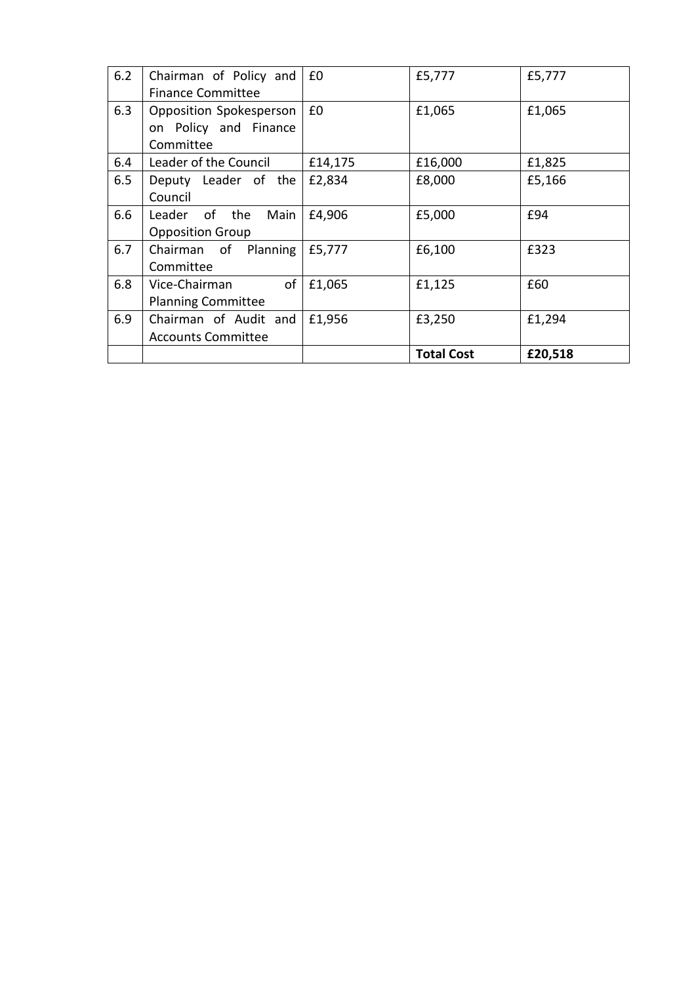| 6.2 | Chairman of Policy and<br><b>Finance Committee</b>            | £0      | £5,777            | £5,777  |
|-----|---------------------------------------------------------------|---------|-------------------|---------|
| 6.3 | Opposition Spokesperson<br>on Policy and Finance<br>Committee | £0      | £1,065            | £1,065  |
| 6.4 | Leader of the Council                                         | £14,175 | £16,000           | £1,825  |
| 6.5 | Deputy Leader of the<br>Council                               | £2,834  | £8,000            | £5,166  |
| 6.6 | Leader of the<br>Main<br><b>Opposition Group</b>              | £4,906  | £5,000            | £94     |
| 6.7 | Chairman of Planning<br>Committee                             | £5,777  | £6,100            | £323    |
| 6.8 | of<br>Vice-Chairman<br><b>Planning Committee</b>              | £1,065  | £1,125            | £60     |
| 6.9 | Chairman of Audit and<br><b>Accounts Committee</b>            | £1,956  | £3,250            | £1,294  |
|     |                                                               |         | <b>Total Cost</b> | £20,518 |